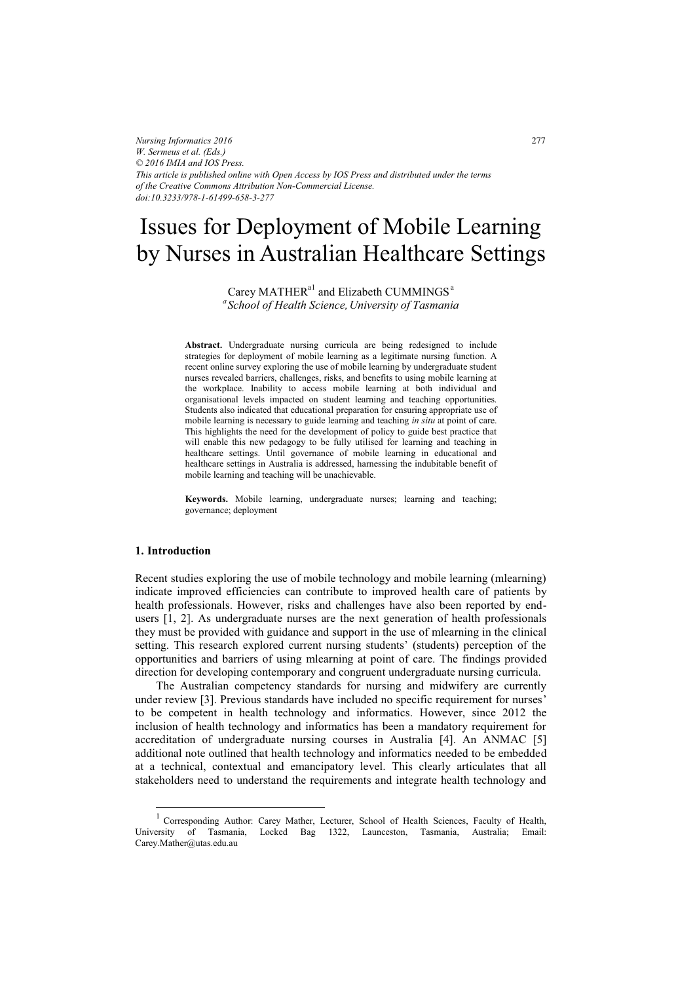*Nursing Informatics 2016 W. Sermeus et al. (Eds.) © 2016 IMIA and IOS Press. This article is published online with Open Access by IOS Press and distributed under the terms of the Creative Commons Attribution Non-Commercial License. doi:10.3233/978-1-61499-658-3-277*

# Issues for Deployment of Mobile Learning by Nurses in Australian Healthcare Settings

Carey MATHER $a1$  and Elizabeth CUMMINGS $a$ *a School of Health Science,University of Tasmania* 

**Abstract.** Undergraduate nursing curricula are being redesigned to include strategies for deployment of mobile learning as a legitimate nursing function. A recent online survey exploring the use of mobile learning by undergraduate student nurses revealed barriers, challenges, risks, and benefits to using mobile learning at the workplace. Inability to access mobile learning at both individual and organisational levels impacted on student learning and teaching opportunities. Students also indicated that educational preparation for ensuring appropriate use of mobile learning is necessary to guide learning and teaching *in situ* at point of care. This highlights the need for the development of policy to guide best practice that will enable this new pedagogy to be fully utilised for learning and teaching in healthcare settings. Until governance of mobile learning in educational and healthcare settings in Australia is addressed, harnessing the indubitable benefit of mobile learning and teaching will be unachievable.

**Keywords.** Mobile learning, undergraduate nurses; learning and teaching; governance; deployment

## **1. Introduction**

-

Recent studies exploring the use of mobile technology and mobile learning (mlearning) indicate improved efficiencies can contribute to improved health care of patients by health professionals. However, risks and challenges have also been reported by endusers [1, 2]. As undergraduate nurses are the next generation of health professionals they must be provided with guidance and support in the use of mlearning in the clinical setting. This research explored current nursing students' (students) perception of the opportunities and barriers of using mlearning at point of care. The findings provided direction for developing contemporary and congruent undergraduate nursing curricula.

The Australian competency standards for nursing and midwifery are currently under review [3]. Previous standards have included no specific requirement for nurses' to be competent in health technology and informatics. However, since 2012 the inclusion of health technology and informatics has been a mandatory requirement for accreditation of undergraduate nursing courses in Australia [4]. An ANMAC [5] additional note outlined that health technology and informatics needed to be embedded at a technical, contextual and emancipatory level. This clearly articulates that all stakeholders need to understand the requirements and integrate health technology and

<sup>1</sup> Corresponding Author: Carey Mather, Lecturer, School of Health Sciences, Faculty of Health, University of Tasmania, Locked Bag 1322, Launceston, Tasmania, Australia; Email: Carey.Mather@utas.edu.au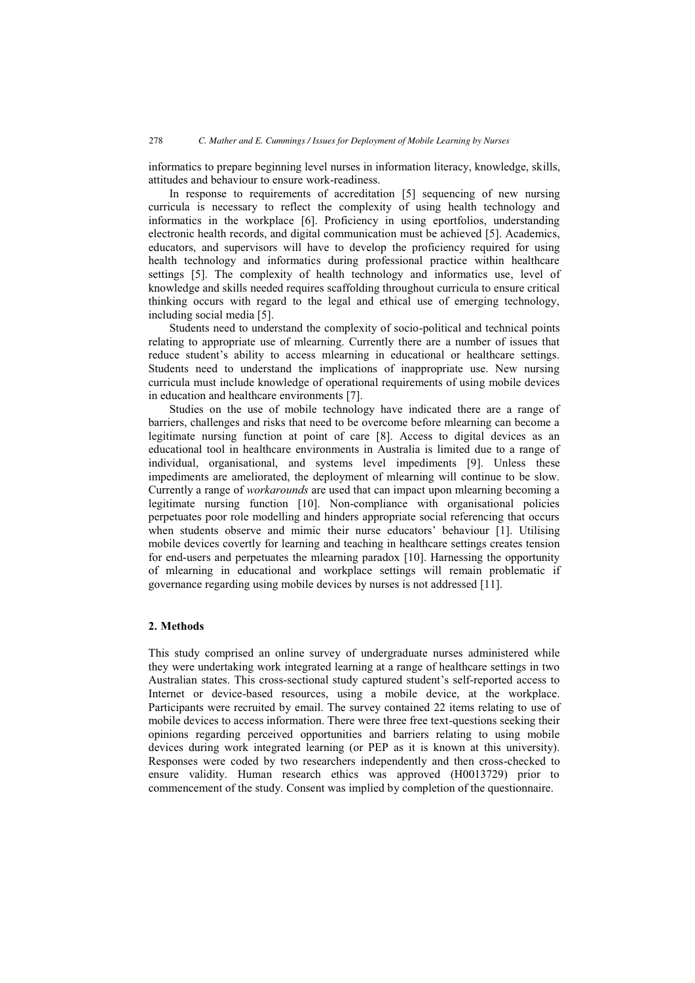informatics to prepare beginning level nurses in information literacy, knowledge, skills, attitudes and behaviour to ensure work-readiness.

In response to requirements of accreditation [5] sequencing of new nursing curricula is necessary to reflect the complexity of using health technology and informatics in the workplace [6]. Proficiency in using eportfolios, understanding electronic health records, and digital communication must be achieved [5]. Academics, educators, and supervisors will have to develop the proficiency required for using health technology and informatics during professional practice within healthcare settings [5]. The complexity of health technology and informatics use, level of knowledge and skills needed requires scaffolding throughout curricula to ensure critical thinking occurs with regard to the legal and ethical use of emerging technology, including social media [5].

Students need to understand the complexity of socio-political and technical points relating to appropriate use of mlearning. Currently there are a number of issues that reduce student's ability to access mlearning in educational or healthcare settings. Students need to understand the implications of inappropriate use. New nursing curricula must include knowledge of operational requirements of using mobile devices in education and healthcare environments [7].

Studies on the use of mobile technology have indicated there are a range of barriers, challenges and risks that need to be overcome before mlearning can become a legitimate nursing function at point of care [8]. Access to digital devices as an educational tool in healthcare environments in Australia is limited due to a range of individual, organisational, and systems level impediments [9]. Unless these impediments are ameliorated, the deployment of mlearning will continue to be slow. Currently a range of *workarounds* are used that can impact upon mlearning becoming a legitimate nursing function [10]. Non-compliance with organisational policies perpetuates poor role modelling and hinders appropriate social referencing that occurs when students observe and mimic their nurse educators' behaviour [1]. Utilising mobile devices covertly for learning and teaching in healthcare settings creates tension for end-users and perpetuates the mlearning paradox [10]. Harnessing the opportunity of mlearning in educational and workplace settings will remain problematic if governance regarding using mobile devices by nurses is not addressed [11].

# **2. Methods**

This study comprised an online survey of undergraduate nurses administered while they were undertaking work integrated learning at a range of healthcare settings in two Australian states. This cross-sectional study captured student's self-reported access to Internet or device-based resources, using a mobile device, at the workplace. Participants were recruited by email. The survey contained 22 items relating to use of mobile devices to access information. There were three free text-questions seeking their opinions regarding perceived opportunities and barriers relating to using mobile devices during work integrated learning (or PEP as it is known at this university). Responses were coded by two researchers independently and then cross-checked to ensure validity. Human research ethics was approved (H0013729) prior to commencement of the study. Consent was implied by completion of the questionnaire.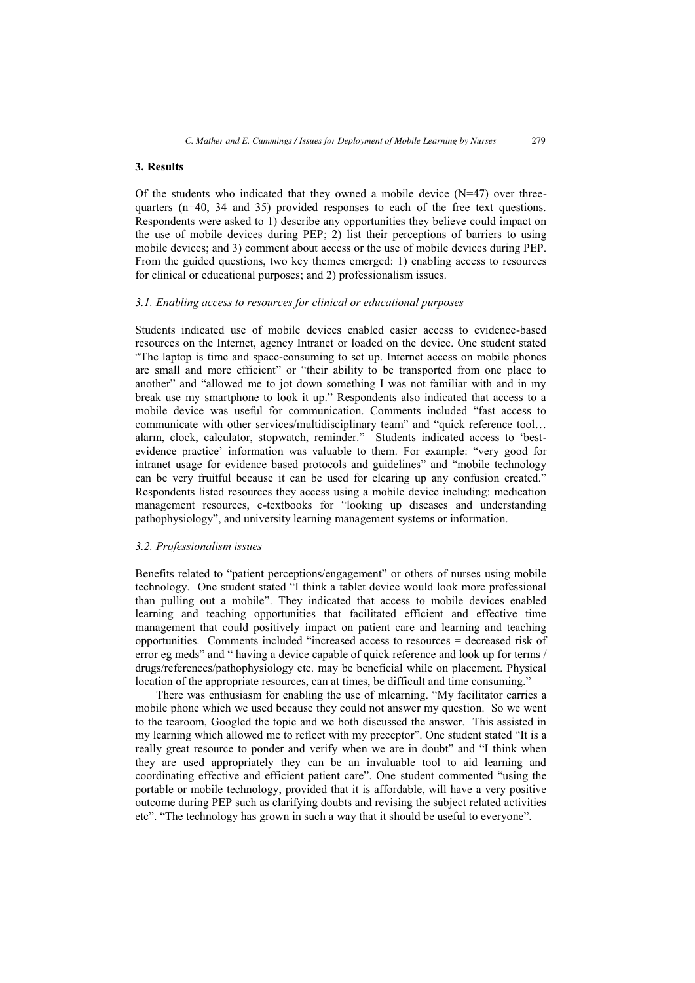## **3. Results**

Of the students who indicated that they owned a mobile device  $(N=47)$  over threequarters  $(n=40, 34, 35)$  provided responses to each of the free text questions. Respondents were asked to 1) describe any opportunities they believe could impact on the use of mobile devices during PEP; 2) list their perceptions of barriers to using mobile devices; and 3) comment about access or the use of mobile devices during PEP. From the guided questions, two key themes emerged: 1) enabling access to resources for clinical or educational purposes; and 2) professionalism issues.

## *3.1. Enabling access to resources for clinical or educational purposes*

Students indicated use of mobile devices enabled easier access to evidence-based resources on the Internet, agency Intranet or loaded on the device. One student stated "The laptop is time and space-consuming to set up. Internet access on mobile phones are small and more efficient" or "their ability to be transported from one place to another" and "allowed me to jot down something I was not familiar with and in my break use my smartphone to look it up." Respondents also indicated that access to a mobile device was useful for communication. Comments included "fast access to communicate with other services/multidisciplinary team" and "quick reference tool… alarm, clock, calculator, stopwatch, reminder." Students indicated access to 'bestevidence practice' information was valuable to them. For example: "very good for intranet usage for evidence based protocols and guidelines" and "mobile technology can be very fruitful because it can be used for clearing up any confusion created." Respondents listed resources they access using a mobile device including: medication management resources, e-textbooks for "looking up diseases and understanding pathophysiology", and university learning management systems or information.

#### *3.2. Professionalism issues*

Benefits related to "patient perceptions/engagement" or others of nurses using mobile technology. One student stated "I think a tablet device would look more professional than pulling out a mobile". They indicated that access to mobile devices enabled learning and teaching opportunities that facilitated efficient and effective time management that could positively impact on patient care and learning and teaching opportunities. Comments included "increased access to resources = decreased risk of error eg meds" and " having a device capable of quick reference and look up for terms / drugs/references/pathophysiology etc. may be beneficial while on placement. Physical location of the appropriate resources, can at times, be difficult and time consuming."

There was enthusiasm for enabling the use of mlearning. "My facilitator carries a mobile phone which we used because they could not answer my question. So we went to the tearoom, Googled the topic and we both discussed the answer. This assisted in my learning which allowed me to reflect with my preceptor". One student stated "It is a really great resource to ponder and verify when we are in doubt" and "I think when they are used appropriately they can be an invaluable tool to aid learning and coordinating effective and efficient patient care". One student commented "using the portable or mobile technology, provided that it is affordable, will have a very positive outcome during PEP such as clarifying doubts and revising the subject related activities etc". "The technology has grown in such a way that it should be useful to everyone".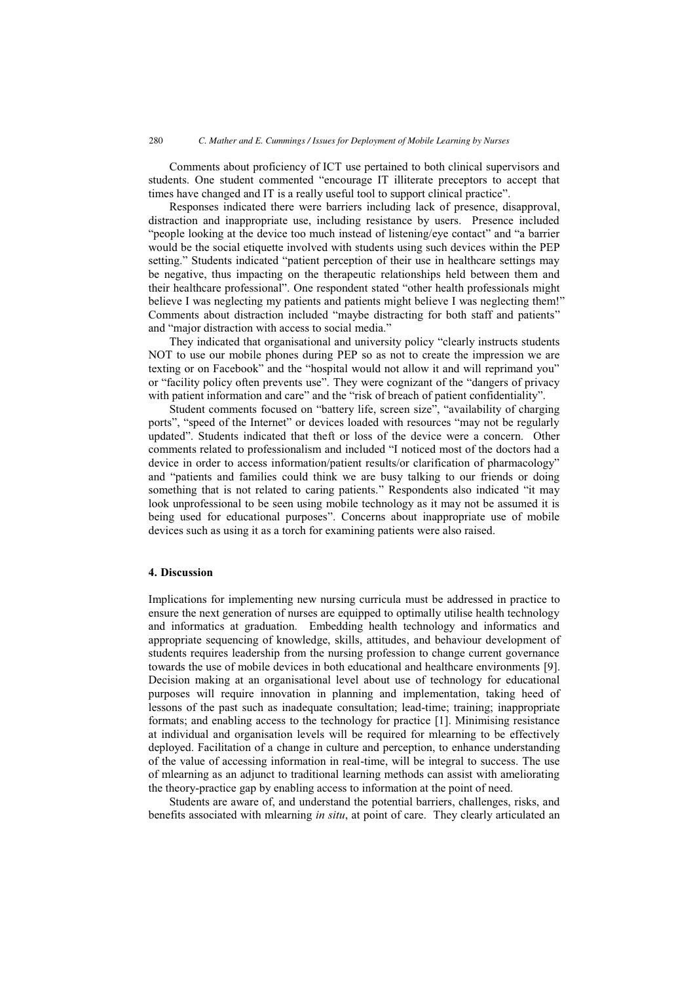Comments about proficiency of ICT use pertained to both clinical supervisors and students. One student commented "encourage IT illiterate preceptors to accept that times have changed and IT is a really useful tool to support clinical practice".

Responses indicated there were barriers including lack of presence, disapproval, distraction and inappropriate use, including resistance by users. Presence included "people looking at the device too much instead of listening/eye contact" and "a barrier would be the social etiquette involved with students using such devices within the PEP setting." Students indicated "patient perception of their use in healthcare settings may be negative, thus impacting on the therapeutic relationships held between them and their healthcare professional". One respondent stated "other health professionals might believe I was neglecting my patients and patients might believe I was neglecting them!" Comments about distraction included "maybe distracting for both staff and patients" and "major distraction with access to social media."

They indicated that organisational and university policy "clearly instructs students NOT to use our mobile phones during PEP so as not to create the impression we are texting or on Facebook" and the "hospital would not allow it and will reprimand you" or "facility policy often prevents use". They were cognizant of the "dangers of privacy with patient information and care" and the "risk of breach of patient confidentiality".

Student comments focused on "battery life, screen size", "availability of charging ports", "speed of the Internet" or devices loaded with resources "may not be regularly updated". Students indicated that theft or loss of the device were a concern. Other comments related to professionalism and included "I noticed most of the doctors had a device in order to access information/patient results/or clarification of pharmacology" and "patients and families could think we are busy talking to our friends or doing something that is not related to caring patients." Respondents also indicated "it may look unprofessional to be seen using mobile technology as it may not be assumed it is being used for educational purposes". Concerns about inappropriate use of mobile devices such as using it as a torch for examining patients were also raised.

#### **4. Discussion**

Implications for implementing new nursing curricula must be addressed in practice to ensure the next generation of nurses are equipped to optimally utilise health technology and informatics at graduation. Embedding health technology and informatics and appropriate sequencing of knowledge, skills, attitudes, and behaviour development of students requires leadership from the nursing profession to change current governance towards the use of mobile devices in both educational and healthcare environments [9]. Decision making at an organisational level about use of technology for educational purposes will require innovation in planning and implementation, taking heed of lessons of the past such as inadequate consultation; lead-time; training; inappropriate formats; and enabling access to the technology for practice [1]. Minimising resistance at individual and organisation levels will be required for mlearning to be effectively deployed. Facilitation of a change in culture and perception, to enhance understanding of the value of accessing information in real-time, will be integral to success. The use of mlearning as an adjunct to traditional learning methods can assist with ameliorating the theory-practice gap by enabling access to information at the point of need.

Students are aware of, and understand the potential barriers, challenges, risks, and benefits associated with mlearning *in situ*, at point of care. They clearly articulated an